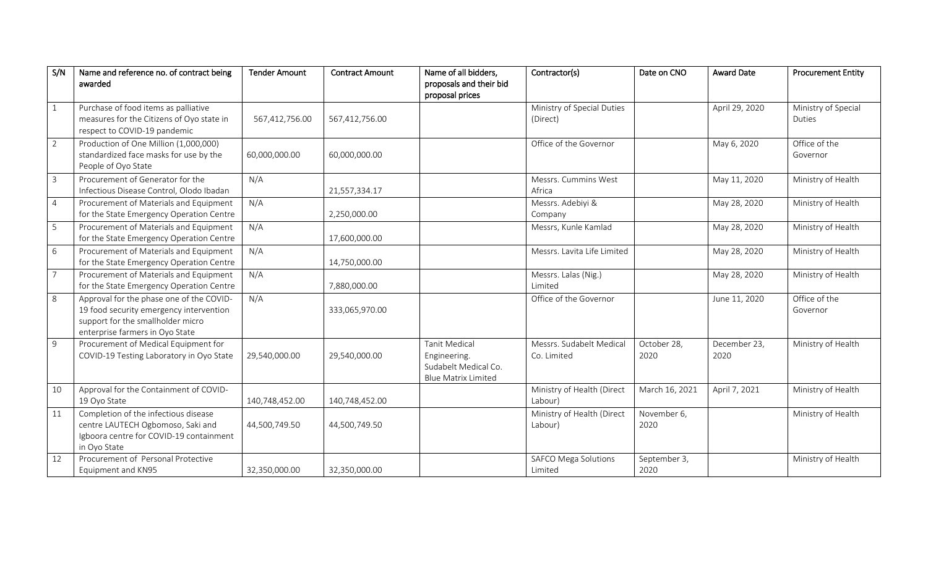| S/N            | Name and reference no. of contract being                                            | <b>Tender Amount</b> | <b>Contract Amount</b> | Name of all bidders,       | Contractor(s)               | Date on CNO          | <b>Award Date</b> | <b>Procurement Entity</b> |
|----------------|-------------------------------------------------------------------------------------|----------------------|------------------------|----------------------------|-----------------------------|----------------------|-------------------|---------------------------|
|                | awarded                                                                             |                      |                        | proposals and their bid    |                             |                      |                   |                           |
| $\boxed{1}$    | Purchase of food items as palliative                                                |                      |                        | proposal prices            | Ministry of Special Duties  |                      | April 29, 2020    | Ministry of Special       |
|                | measures for the Citizens of Oyo state in                                           | 567,412,756.00       | 567,412,756.00         |                            | (Direct)                    |                      |                   | Duties                    |
|                | respect to COVID-19 pandemic                                                        |                      |                        |                            |                             |                      |                   |                           |
| $\overline{2}$ | Production of One Million (1,000,000)                                               |                      |                        |                            | Office of the Governor      |                      | May 6, 2020       | Office of the             |
|                | standardized face masks for use by the<br>People of Oyo State                       | 60,000,000.00        | 60,000,000.00          |                            |                             |                      |                   | Governor                  |
| $\overline{3}$ | Procurement of Generator for the                                                    | N/A                  |                        |                            | Messrs. Cummins West        |                      | May 11, 2020      | Ministry of Health        |
|                | Infectious Disease Control, Olodo Ibadan                                            |                      | 21,557,334.17          |                            | Africa                      |                      |                   |                           |
| $\overline{4}$ | Procurement of Materials and Equipment                                              | N/A                  |                        |                            | Messrs. Adebiyi &           |                      | May 28, 2020      | Ministry of Health        |
|                | for the State Emergency Operation Centre                                            |                      | 2,250,000.00           |                            | Company                     |                      |                   |                           |
| 5              | Procurement of Materials and Equipment                                              | N/A                  |                        |                            | Messrs, Kunle Kamlad        |                      | May 28, 2020      | Ministry of Health        |
|                | for the State Emergency Operation Centre                                            |                      | 17,600,000.00          |                            |                             |                      |                   |                           |
| 6              | Procurement of Materials and Equipment                                              | N/A                  |                        |                            | Messrs. Lavita Life Limited |                      | May 28, 2020      | Ministry of Health        |
|                | for the State Emergency Operation Centre                                            |                      | 14,750,000.00          |                            |                             |                      |                   |                           |
| $\overline{7}$ | Procurement of Materials and Equipment                                              | N/A                  |                        |                            | Messrs. Lalas (Nig.)        |                      | May 28, 2020      | Ministry of Health        |
|                | for the State Emergency Operation Centre                                            |                      | 7,880,000.00           |                            | Limited                     |                      |                   | Office of the             |
| 8              | Approval for the phase one of the COVID-<br>19 food security emergency intervention | N/A                  | 333,065,970.00         |                            | Office of the Governor      |                      | June 11, 2020     |                           |
|                | support for the smallholder micro                                                   |                      |                        |                            |                             |                      |                   | Governor                  |
|                | enterprise farmers in Oyo State                                                     |                      |                        |                            |                             |                      |                   |                           |
| $\overline{9}$ | Procurement of Medical Equipment for                                                |                      |                        | <b>Tanit Medical</b>       | Messrs. Sudabelt Medical    | October 28,          | December 23,      | Ministry of Health        |
|                | COVID-19 Testing Laboratory in Oyo State                                            | 29,540,000.00        | 29,540,000.00          | Engineering.               | Co. Limited                 | 2020                 | 2020              |                           |
|                |                                                                                     |                      |                        | Sudabelt Medical Co.       |                             |                      |                   |                           |
|                |                                                                                     |                      |                        | <b>Blue Matrix Limited</b> |                             |                      |                   |                           |
| 10             | Approval for the Containment of COVID-                                              |                      |                        |                            | Ministry of Health (Direct  | March 16, 2021       | April 7, 2021     | Ministry of Health        |
|                | 19 Oyo State                                                                        | 140,748,452.00       | 140,748,452.00         |                            | Labour)                     |                      |                   |                           |
| 11             | Completion of the infectious disease                                                |                      |                        |                            | Ministry of Health (Direct  | November 6,          |                   | Ministry of Health        |
|                | centre LAUTECH Ogbomoso, Saki and                                                   | 44,500,749.50        | 44,500,749.50          |                            | Labour)                     | 2020                 |                   |                           |
|                | Igboora centre for COVID-19 containment                                             |                      |                        |                            |                             |                      |                   |                           |
| 12             | in Oyo State<br>Procurement of Personal Protective                                  |                      |                        |                            | <b>SAFCO Mega Solutions</b> |                      |                   | Ministry of Health        |
|                | Equipment and KN95                                                                  | 32,350,000.00        | 32,350,000.00          |                            | Limited                     | September 3,<br>2020 |                   |                           |
|                |                                                                                     |                      |                        |                            |                             |                      |                   |                           |